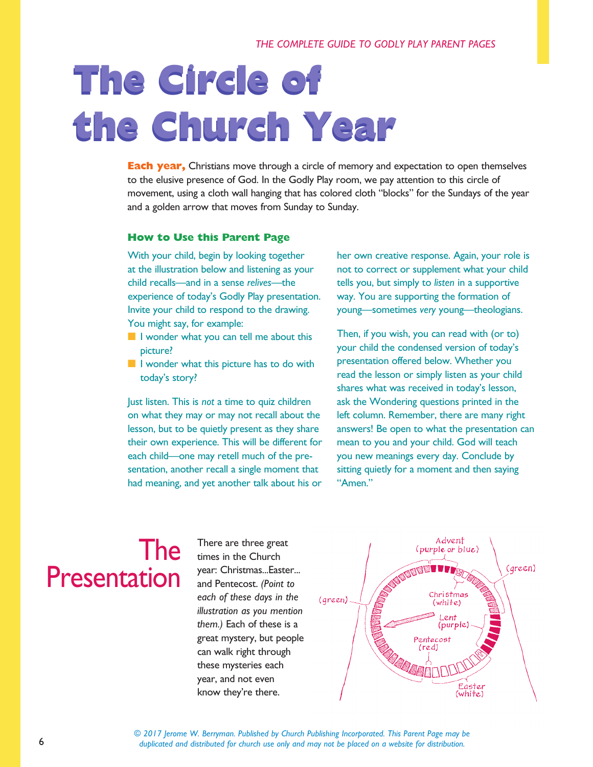# **The Circle of The Circle of the Church Year the Church Year**

**Each year,** Christians move through a circle of memory and expectation to open themselves to the elusive presence of God. In the Godly Play room, we pay attention to this circle of movement, using a cloth wall hanging that has colored cloth "blocks" for the Sundays of the year and a golden arrow that moves from Sunday to Sunday.

#### **How to Use this Parent Page**

With your child, begin by looking together at the illustration below and listening as your child recalls—and in a sense *relives*—the experience of today's Godly Play presentation. Invite your child to respond to the drawing. You might say, for example:

- $\blacksquare$  I wonder what you can tell me about this picture?
- $\blacksquare$  I wonder what this picture has to do with today's story?

Just listen. This is *not* a time to quiz children on what they may or may not recall about the lesson, but to be quietly present as they share their own experience. This will be different for each child—one may retell much of the presentation, another recall a single moment that had meaning, and yet another talk about his or

her own creative response. Again, your role is not to correct or supplement what your child tells you, but simply to *listen* in a supportive way. You are supporting the formation of young—sometimes *very* young—theologians.

Then, if you wish, you can read with (or to) your child the condensed version of today's presentation offered below. Whether you read the lesson or simply listen as your child shares what was received in today's lesson, ask the Wondering questions printed in the left column. Remember, there are many right answers! Be open to what the presentation can mean to you and your child. God will teach you new meanings every day. Conclude by sitting quietly for a moment and then saying "Amen."

#### The Presentation

There are three great times in the Church year: Christmas...Easter... and Pentecost. *(Point to each of these days in the illustration as you mention them.)* Each of these is a great mystery, but people can walk right through these mysteries each year, and not even know they're there.



*© 2017 Jerome W. Berryman. Published by Church Publishing Incorporated. This Parent Page may be duplicated and distributed for church use only and may not be placed on a website for distribution.*